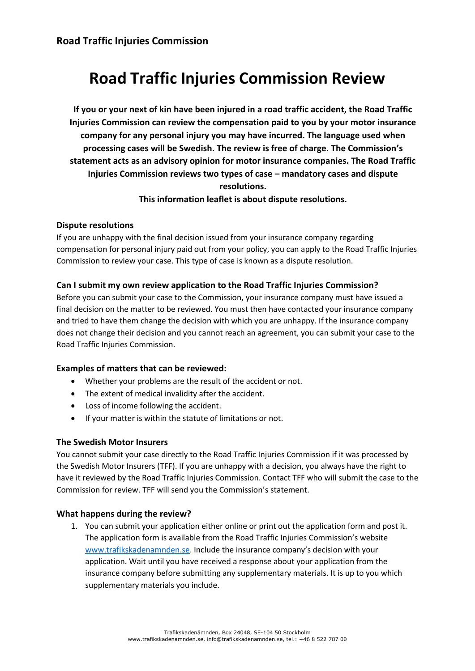# **Road Traffic Injuries Commission Review**

**If you or your next of kin have been injured in a road traffic accident, the Road Traffic Injuries Commission can review the compensation paid to you by your motor insurance company for any personal injury you may have incurred. The language used when processing cases will be Swedish. The review is free of charge. The Commission's statement acts as an advisory opinion for motor insurance companies. The Road Traffic Injuries Commission reviews two types of case – mandatory cases and dispute resolutions.** 

# **This information leaflet is about dispute resolutions.**

## **Dispute resolutions**

If you are unhappy with the final decision issued from your insurance company regarding compensation for personal injury paid out from your policy, you can apply to the Road Traffic Injuries Commission to review your case. This type of case is known as a dispute resolution.

# **Can I submit my own review application to the Road Traffic Injuries Commission?**

Before you can submit your case to the Commission, your insurance company must have issued a final decision on the matter to be reviewed. You must then have contacted your insurance company and tried to have them change the decision with which you are unhappy. If the insurance company does not change their decision and you cannot reach an agreement, you can submit your case to the Road Traffic Injuries Commission.

## **Examples of matters that can be reviewed:**

- Whether your problems are the result of the accident or not.
- The extent of medical invalidity after the accident.
- Loss of income following the accident.
- If your matter is within the statute of limitations or not.

## **The Swedish Motor Insurers**

You cannot submit your case directly to the Road Traffic Injuries Commission if it was processed by the Swedish Motor Insurers (TFF). If you are unhappy with a decision, you always have the right to have it reviewed by the Road Traffic Injuries Commission. Contact TFF who will submit the case to the Commission for review. TFF will send you the Commission's statement.

## **What happens during the review?**

1. You can submit your application either online or print out the application form and post it. The application form is available from the Road Traffic Injuries Commission's website [www.trafikskadenamnden.se](http://www.trafikskadenamnden.se/). Include the insurance company's decision with your application. Wait until you have received a response about your application from the insurance company before submitting any supplementary materials. It is up to you which supplementary materials you include.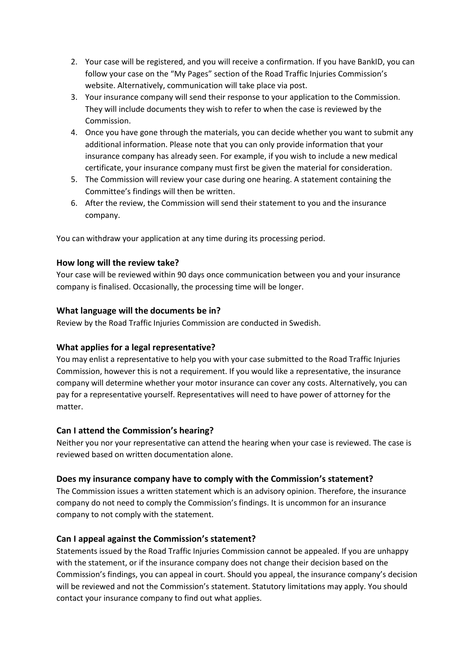- 2. Your case will be registered, and you will receive a confirmation. If you have BankID, you can follow your case on the "My Pages" section of the Road Traffic Injuries Commission's website. Alternatively, communication will take place via post.
- 3. Your insurance company will send their response to your application to the Commission. They will include documents they wish to refer to when the case is reviewed by the Commission.
- 4. Once you have gone through the materials, you can decide whether you want to submit any additional information. Please note that you can only provide information that your insurance company has already seen. For example, if you wish to include a new medical certificate, your insurance company must first be given the material for consideration.
- 5. The Commission will review your case during one hearing. A statement containing the Committee's findings will then be written.
- 6. After the review, the Commission will send their statement to you and the insurance company.

You can withdraw your application at any time during its processing period.

## **How long will the review take?**

Your case will be reviewed within 90 days once communication between you and your insurance company is finalised. Occasionally, the processing time will be longer.

## **What language will the documents be in?**

Review by the Road Traffic Injuries Commission are conducted in Swedish.

## **What applies for a legal representative?**

You may enlist a representative to help you with your case submitted to the Road Traffic Injuries Commission, however this is not a requirement. If you would like a representative, the insurance company will determine whether your motor insurance can cover any costs. Alternatively, you can pay for a representative yourself. Representatives will need to have power of attorney for the matter.

### **Can I attend the Commission's hearing?**

Neither you nor your representative can attend the hearing when your case is reviewed. The case is reviewed based on written documentation alone.

### **Does my insurance company have to comply with the Commission's statement?**

The Commission issues a written statement which is an advisory opinion. Therefore, the insurance company do not need to comply the Commission's findings. It is uncommon for an insurance company to not comply with the statement.

## **Can I appeal against the Commission's statement?**

Statements issued by the Road Traffic Injuries Commission cannot be appealed. If you are unhappy with the statement, or if the insurance company does not change their decision based on the Commission's findings, you can appeal in court. Should you appeal, the insurance company's decision will be reviewed and not the Commission's statement. Statutory limitations may apply. You should contact your insurance company to find out what applies.